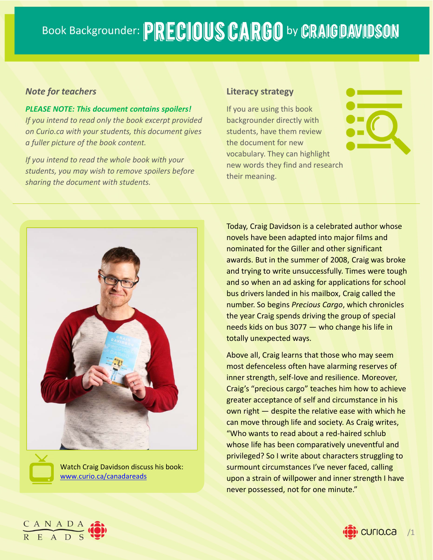# Book Backgrounder: PRECIOUS CARGO by CRAIGDAVIDSON

#### *Note for teachers*

*PLEASE NOTE: This document contains spoilers! If you intend to read only the book excerpt provided on Curio.ca with your students, this document gives a fuller picture of the book content.*

*If you intend to read the whole book with your students, you may wish to remove spoilers before sharing the document with students.*

#### **Literacy strategy**

If you are using this book backgrounder directly with students, have them review the document for new vocabulary. They can highlight new words they find and research their meaning.



**Book Description WWW.curio.ca/canadareads** Watch Craig Davidson discuss his book: Today, Craig Davidson is a celebrated author whose novels have been adapted into major films and nominated for the Giller and other significant awards. But in the summer of 2008, Craig was broke and trying to write unsuccessfully. Times were tough and so when an ad asking for applications for school bus drivers landed in his mailbox, Craig called the number. So begins *Precious Cargo*, which chronicles the year Craig spends driving the group of special needs kids on bus 3077 — who change his life in totally unexpected ways.

Above all, Craig learns that those who may seem most defenceless often have alarming reserves of inner strength, self‐love and resilience. Moreover, Craig's "precious cargo" teaches him how to achieve greater acceptance of self and circumstance in his own right — despite the relative ease with which he can move through life and society. As Craig writes, "Who wants to read about a red‐haired schlub whose life has been comparatively uneventful and privileged? So I write about characters struggling to surmount circumstances I've never faced, calling upon a strain of willpower and inner strength I have never possessed, not for one minute."



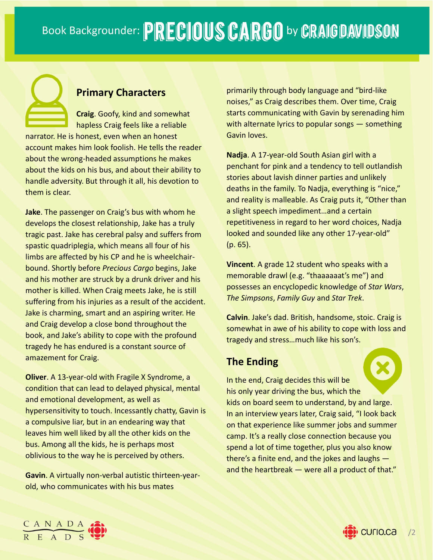# **Primary Characters**

**Craig**. Goofy, kind and somewhat hapless Craig feels like a reliable narrator. He is honest, even when an honest account makes him look foolish. He tells the reader about the wrong‐headed assumptions he makes about the kids on his bus, and about their ability to handle adversity. But through it all, his devotion to them is clear.

**Jake**. The passenger on Craig's bus with whom he develops the closest relationship, Jake has a truly tragic past. Jake has cerebral palsy and suffers from spastic quadriplegia, which means all four of his limbs are affected by his CP and he is wheelchair‐ bound. Shortly before *Precious Cargo* begins, Jake and his mother are struck by a drunk driver and his mother is killed. When Craig meets Jake, he is still suffering from his injuries as a result of the accident. Jake is charming, smart and an aspiring writer. He and Craig develop a close bond throughout the book, and Jake's ability to cope with the profound tragedy he has endured is a constant source of amazement for Craig.

**Oliver**. A 13-year-old with Fragile X Syndrome, a condition that can lead to delayed physical, mental and emotional development, as well as hypersensitivity to touch. Incessantly chatty, Gavin is a compulsive liar, but in an endearing way that leaves him well liked by all the other kids on the bus. Among all the kids, he is perhaps most oblivious to the way he is perceived by others.

**Gavin**. A virtually non‐verbal autistic thirteen‐year‐ old, who communicates with his bus mates

primarily through body language and "bird‐like noises," as Craig describes them. Over time, Craig starts communicating with Gavin by serenading him with alternate lyrics to popular songs - something Gavin loves.

**Nadja**. A 17‐year‐old South Asian girl with a penchant for pink and a tendency to tell outlandish stories about lavish dinner parties and unlikely deaths in the family. To Nadja, everything is "nice," and reality is malleable. As Craig puts it, "Other than a slight speech impediment…and a certain repetitiveness in regard to her word choices, Nadja looked and sounded like any other 17‐year‐old" (p. 65).

**Vincent**. A grade 12 student who speaks with a memorable drawl (e.g. "thaaaaaat's me") and possesses an encyclopedic knowledge of *Star Wars*, *The Simpsons*, *Family Guy* and *Star Trek*.

**Calvin**. Jake's dad. British, handsome, stoic. Craig is somewhat in awe of his ability to cope with loss and tragedy and stress…much like his son's.

# **The Ending**

In the end, Craig decides this will be his only year driving the bus, which the kids on board seem to understand, by and large. In an interview years later, Craig said, "I look back on that experience like summer jobs and summer camp. It's a really close connection because you spend a lot of time together, plus you also know there's a finite end, and the jokes and laughs and the heartbreak  $-$  were all a product of that."

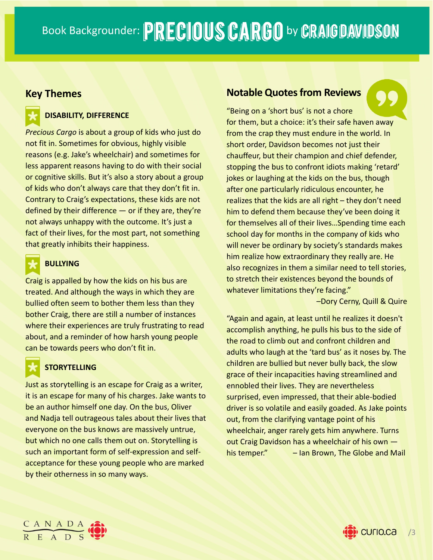## **Key Themes**

#### **DISABILITY, DIFFERENCE**

*Precious Cargo* is about a group of kids who just do not fit in. Sometimes for obvious, highly visible reasons (e.g. Jake's wheelchair) and sometimes for less apparent reasons having to do with their social or cognitive skills. But it's also a story about a group of kids who don't always care that they don't fit in. Contrary to Craig's expectations, these kids are not defined by their difference  $-$  or if they are, they're not always unhappy with the outcome. It's just a fact of their lives, for the most part, not something that greatly inhibits their happiness.

#### **BULLYING**

Craig is appalled by how the kids on his bus are treated. And although the ways in which they are bullied often seem to bother them less than they bother Craig, there are still a number of instances where their experiences are truly frustrating to read about, and a reminder of how harsh young people can be towards peers who don't fit in.

### **STORYTELLING**

Just as storytelling is an escape for Craig as a writer, it is an escape for many of his charges. Jake wants to be an author himself one day. On the bus, Oliver and Nadja tell outrageous tales about their lives that everyone on the bus knows are massively untrue, but which no one calls them out on. Storytelling is such an important form of self‐expression and self‐ acceptance for these young people who are marked by their otherness in so many ways.

## **Notable Quotes from Reviews**



"Being on a 'short bus' is not a chore for them, but a choice: it's their safe haven away from the crap they must endure in the world. In short order, Davidson becomes not just their chauffeur, but their champion and chief defender, stopping the bus to confront idiots making 'retard' jokes or laughing at the kids on the bus, though after one particularly ridiculous encounter, he realizes that the kids are all right – they don't need him to defend them because they've been doing it for themselves all of their lives…Spending time each school day for months in the company of kids who will never be ordinary by society's standards makes him realize how extraordinary they really are. He also recognizes in them a similar need to tell stories, to stretch their existences beyond the bounds of whatever limitations they're facing."

–Dory Cerny, Quill & Quire

"Again and again, at least until he realizes it doesn't accomplish anything, he pulls his bus to the side of the road to climb out and confront children and adults who laugh at the 'tard bus' as it noses by. The children are bullied but never bully back, the slow grace of their incapacities having streamlined and ennobled their lives. They are nevertheless surprised, even impressed, that their able‐bodied driver is so volatile and easily goaded. As Jake points out, from the clarifying vantage point of his wheelchair, anger rarely gets him anywhere. Turns out Craig Davidson has a wheelchair of his own his temper." – Ian Brown, The Globe and Mail



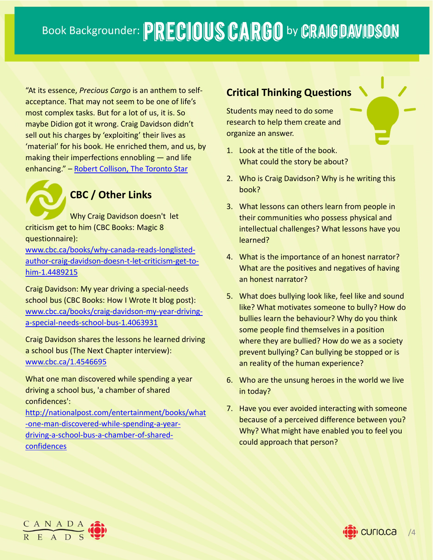"At its essence, *Precious Cargo* is an anthem to self‐ acceptance. That may not seem to be one of life's most complex tasks. But for a lot of us, it is. So maybe Didion got it wrong. Craig Davidson didn't sell out his charges by 'exploiting' their lives as 'material' for his book. He enriched them, and us, by making their imperfections ennobling — and life enhancing." – Robert Collison, The Toronto Star

# **CBC / Other Links**

Why Craig Davidson doesn't let criticism get to him (CBC Books: Magic 8 questionnaire):

www.cbc.ca/books/why‐canada‐reads‐longlisted‐ author‐craig‐davidson‐doesn‐t‐let‐criticism‐get‐to‐ him‐1.4489215

Craig Davidson: My year driving a special‐needs school bus (CBC Books: How I Wrote It blog post): www.cbc.ca/books/craig‐davidson‐my‐year‐driving‐ a-special-needs-school-bus-1.4063931

Craig Davidson shares the lessons he learned driving a school bus (The Next Chapter interview): www.cbc.ca/1.4546695

What one man discovered while spending a year driving a school bus, 'a chamber of shared confidences':

http://nationalpost.com/entertainment/books/what ‐one‐man‐discovered‐while‐spending‐a‐year‐ driving‐a‐school‐bus‐a‐chamber‐of‐shared‐ confidences

# **Critical Thinking Questions**

Students may need to do some research to help them create and organize an answer.

- 1. Look at the title of the book. What could the story be about?
- 2. Who is Craig Davidson? Why is he writing this book?
- 3. What lessons can others learn from people in their communities who possess physical and intellectual challenges? What lessons have you learned?
- 4. What is the importance of an honest narrator? What are the positives and negatives of having an honest narrator?
- 5. What does bullying look like, feel like and sound like? What motivates someone to bully? How do bullies learn the behaviour? Why do you think some people find themselves in a position where they are bullied? How do we as a society prevent bullying? Can bullying be stopped or is an reality of the human experience?
- 6. Who are the unsung heroes in the world we live in today?
- 7. Have you ever avoided interacting with someone because of a perceived difference between you? Why? What might have enabled you to feel you could approach that person?